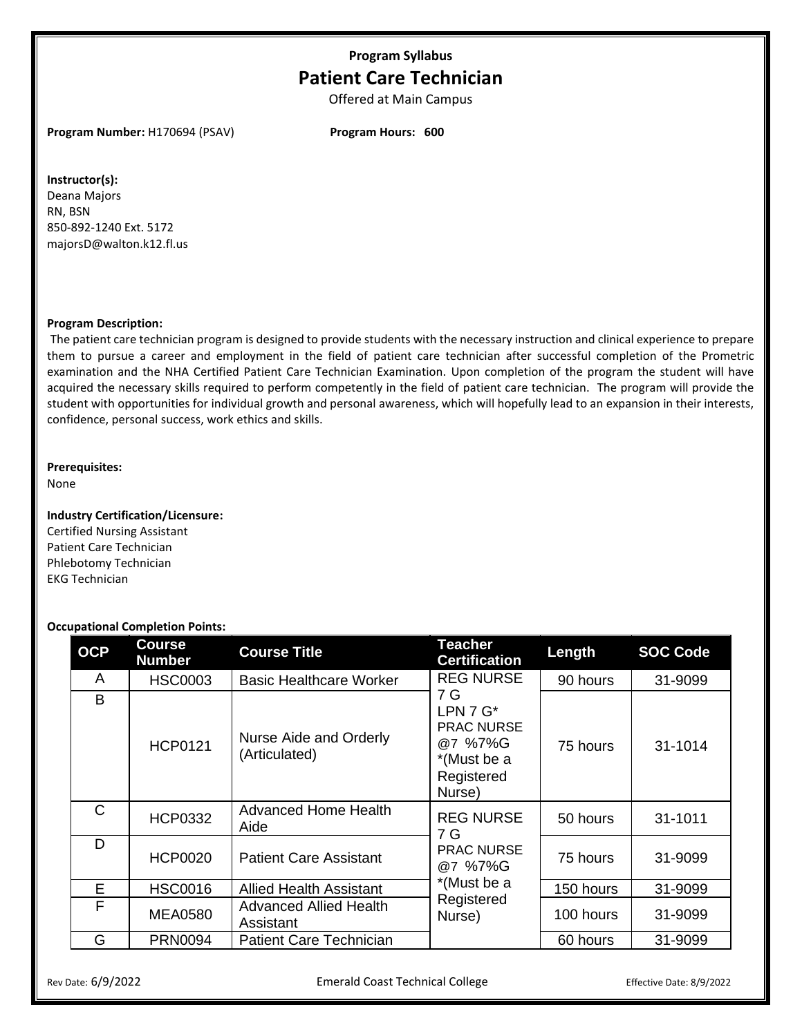# **Program Syllabus Patient Care Technician**

Offered at Main Campus

**Program Number:** H170694 (PSAV) **Program Hours: 600**

## **Instructor(s):**

Deana Majors RN, BSN 850-892-1240 Ext. 5172 majorsD@walton.k12.fl.us

## **Program Description:**

The patient care technician program is designed to provide students with the necessary instruction and clinical experience to prepare them to pursue a career and employment in the field of patient care technician after successful completion of the Prometric examination and the NHA Certified Patient Care Technician Examination. Upon completion of the program the student will have acquired the necessary skills required to perform competently in the field of patient care technician. The program will provide the student with opportunities for individual growth and personal awareness, which will hopefully lead to an expansion in their interests, confidence, personal success, work ethics and skills.

## **Prerequisites:**

None

## **Industry Certification/Licensure:**

Certified Nursing Assistant Patient Care Technician Phlebotomy Technician EKG Technician

## **Occupational Completion Points:**

| <b>OCP</b>   | <b>Course</b><br><b>Number</b> | <b>Course Title</b>                        | <b>Teacher</b><br><b>Certification</b>                                                                        | Length    | <b>SOC Code</b> |
|--------------|--------------------------------|--------------------------------------------|---------------------------------------------------------------------------------------------------------------|-----------|-----------------|
| A            | <b>HSC0003</b>                 | <b>Basic Healthcare Worker</b>             | <b>REG NURSE</b><br>7 G<br>LPN $7 G^*$<br><b>PRAC NURSE</b><br>@7 %7%G<br>*(Must be a<br>Registered<br>Nurse) | 90 hours  | 31-9099         |
| B            | <b>HCP0121</b>                 | Nurse Aide and Orderly<br>(Articulated)    |                                                                                                               | 75 hours  | 31-1014         |
| $\mathsf{C}$ | <b>HCP0332</b>                 | <b>Advanced Home Health</b><br>Aide        | <b>REG NURSE</b><br>7 G<br><b>PRAC NURSE</b><br>@7 %7%G<br>*(Must be a<br>Registered<br>Nurse)                | 50 hours  | 31-1011         |
| D            | <b>HCP0020</b>                 | <b>Patient Care Assistant</b>              |                                                                                                               | 75 hours  | 31-9099         |
| E            | <b>HSC0016</b>                 | <b>Allied Health Assistant</b>             |                                                                                                               | 150 hours | 31-9099         |
| F            | <b>MEA0580</b>                 | <b>Advanced Allied Health</b><br>Assistant |                                                                                                               | 100 hours | 31-9099         |
| G            | <b>PRN0094</b>                 | <b>Patient Care Technician</b>             |                                                                                                               | 60 hours  | 31-9099         |

Rev Date: 6/9/2022 **Emerald Coast Technical College** Effective Date: 8/9/2022 **Effective Date: 8/9/2022**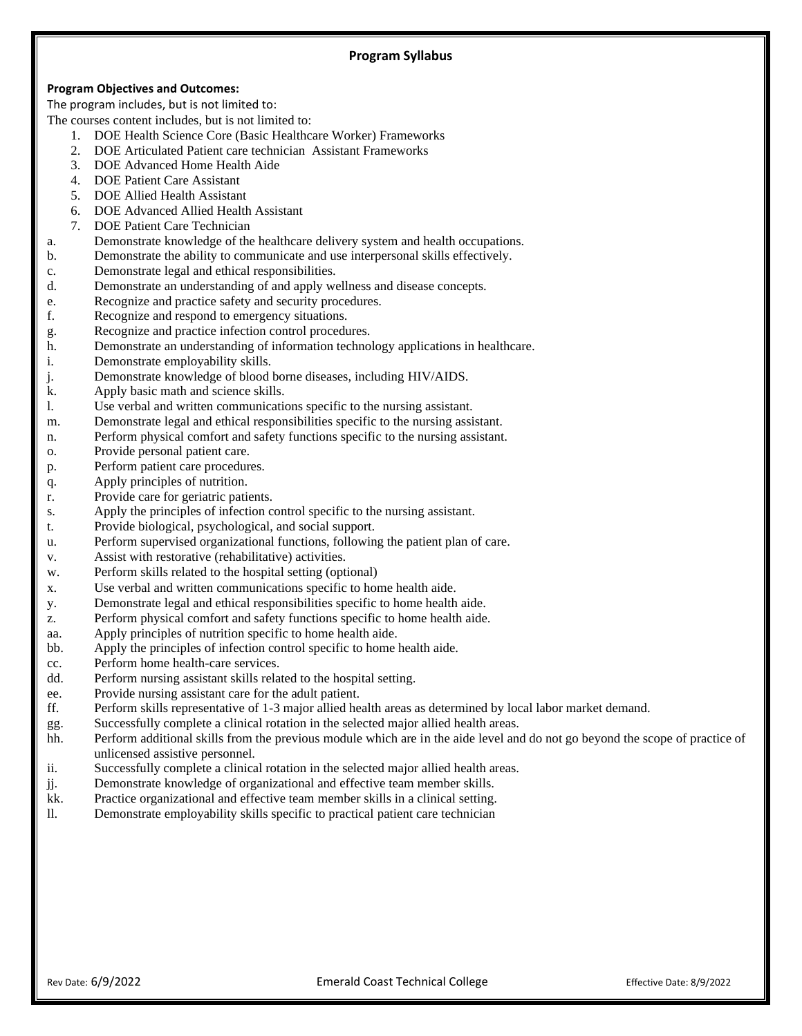## **Program Objectives and Outcomes:**

The program includes, but is not limited to:

- The courses content includes, but is not limited to:
	- 1. DOE Health Science Core (Basic Healthcare Worker) Frameworks
	- 2. DOE Articulated Patient care technician Assistant Frameworks
	- 3. DOE Advanced Home Health Aide
	- 4. DOE Patient Care Assistant
	- 5. DOE Allied Health Assistant
	- 6. DOE Advanced Allied Health Assistant
	- 7. DOE Patient Care Technician
- a. Demonstrate knowledge of the healthcare delivery system and health occupations.
- b. Demonstrate the ability to communicate and use interpersonal skills effectively.
- c. Demonstrate legal and ethical responsibilities.
- d. Demonstrate an understanding of and apply wellness and disease concepts.
- e. Recognize and practice safety and security procedures.
- f. Recognize and respond to emergency situations.
- g. Recognize and practice infection control procedures.
- h. Demonstrate an understanding of information technology applications in healthcare.
- i. Demonstrate employability skills.
- j. Demonstrate knowledge of blood borne diseases, including HIV/AIDS.
- k. Apply basic math and science skills.
- l. Use verbal and written communications specific to the nursing assistant.
- m. Demonstrate legal and ethical responsibilities specific to the nursing assistant.
- n. Perform physical comfort and safety functions specific to the nursing assistant.
- o. Provide personal patient care.
- p. Perform patient care procedures.
- q. Apply principles of nutrition.
- r. Provide care for geriatric patients.
- s. Apply the principles of infection control specific to the nursing assistant.
- t. Provide biological, psychological, and social support.
- u. Perform supervised organizational functions, following the patient plan of care.
- v. Assist with restorative (rehabilitative) activities.
- w. Perform skills related to the hospital setting (optional)
- x. Use verbal and written communications specific to home health aide.
- y. Demonstrate legal and ethical responsibilities specific to home health aide.
- z. Perform physical comfort and safety functions specific to home health aide.
- aa. Apply principles of nutrition specific to home health aide.
- bb. Apply the principles of infection control specific to home health aide.
- cc. Perform home health-care services.
- dd. Perform nursing assistant skills related to the hospital setting.
- ee. Provide nursing assistant care for the adult patient.
- ff. Perform skills representative of 1-3 major allied health areas as determined by local labor market demand.
- gg. Successfully complete a clinical rotation in the selected major allied health areas.
- hh. Perform additional skills from the previous module which are in the aide level and do not go beyond the scope of practice of unlicensed assistive personnel.
- ii. Successfully complete a clinical rotation in the selected major allied health areas.
- jj. Demonstrate knowledge of organizational and effective team member skills.
- kk. Practice organizational and effective team member skills in a clinical setting.
- ll. Demonstrate employability skills specific to practical patient care technician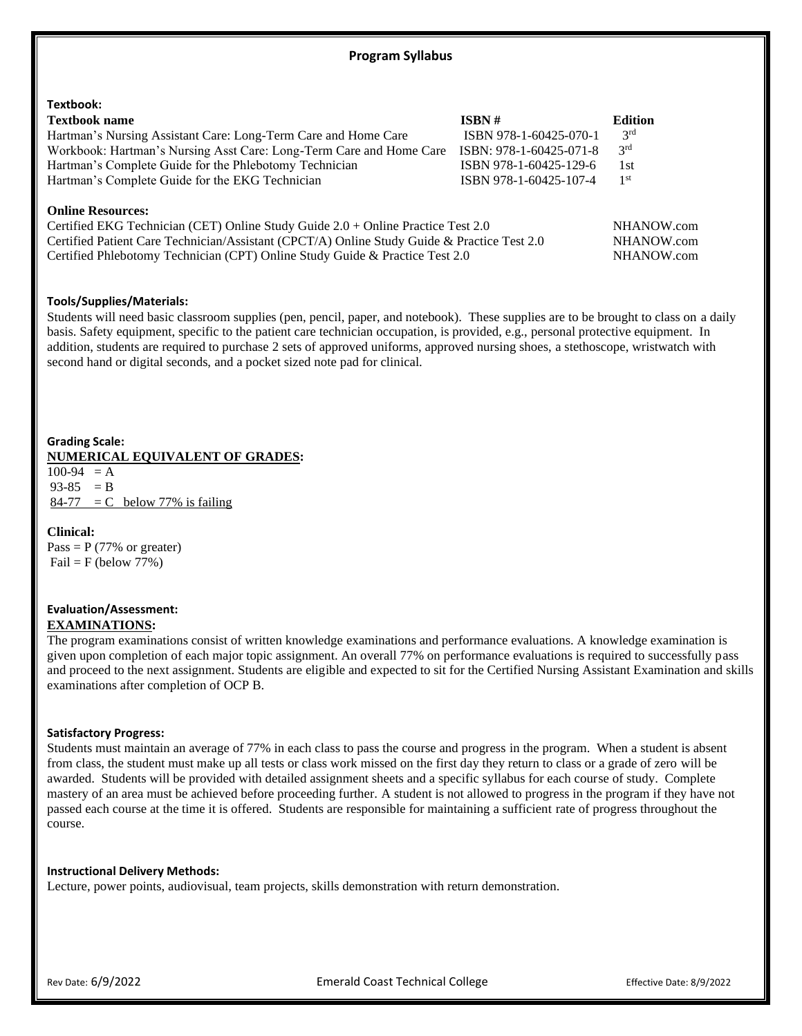| Textbook:                                                                                                                                                                                                                                                                                   |                         |                 |  |
|---------------------------------------------------------------------------------------------------------------------------------------------------------------------------------------------------------------------------------------------------------------------------------------------|-------------------------|-----------------|--|
| <b>Textbook name</b>                                                                                                                                                                                                                                                                        | ISBN #                  | <b>Edition</b>  |  |
| Hartman's Nursing Assistant Care: Long-Term Care and Home Care                                                                                                                                                                                                                              | ISBN 978-1-60425-070-1  | 3 <sup>rd</sup> |  |
| Workbook: Hartman's Nursing Asst Care: Long-Term Care and Home Care                                                                                                                                                                                                                         | ISBN: 978-1-60425-071-8 | 3 <sup>rd</sup> |  |
| Hartman's Complete Guide for the Phlebotomy Technician                                                                                                                                                                                                                                      | ISBN 978-1-60425-129-6  | 1st             |  |
| Hartman's Complete Guide for the EKG Technician                                                                                                                                                                                                                                             | ISBN 978-1-60425-107-4  | 1 <sup>st</sup> |  |
| <b>Online Resources:</b><br>Certified EKG Technician (CET) Online Study Guide 2.0 + Online Practice Test 2.0<br>Certified Patient Care Technician/Assistant (CPCT/A) Online Study Guide & Practice Test 2.0<br>Certified Phlebotomy Technician (CPT) Online Study Guide & Practice Test 2.0 |                         |                 |  |

## **Tools/Supplies/Materials:**

Students will need basic classroom supplies (pen, pencil, paper, and notebook). These supplies are to be brought to class on a daily basis. Safety equipment, specific to the patient care technician occupation, is provided, e.g., personal protective equipment. In addition, students are required to purchase 2 sets of approved uniforms, approved nursing shoes, a stethoscope, wristwatch with second hand or digital seconds, and a pocket sized note pad for clinical.

## **Grading Scale: NUMERICAL EQUIVALENT OF GRADES:**

 $100-94 = A$  $93-85 = B$  $84-77$  = C below 77% is failing

## **Clinical:**

Pass =  $P$  (77% or greater)  $Fail = F (below 77%)$ 

## **Evaluation/Assessment: EXAMINATIONS:**

The program examinations consist of written knowledge examinations and performance evaluations. A knowledge examination is given upon completion of each major topic assignment. An overall 77% on performance evaluations is required to successfully pass and proceed to the next assignment. Students are eligible and expected to sit for the Certified Nursing Assistant Examination and skills examinations after completion of OCP B.

## **Satisfactory Progress:**

Students must maintain an average of 77% in each class to pass the course and progress in the program. When a student is absent from class, the student must make up all tests or class work missed on the first day they return to class or a grade of zero will be awarded. Students will be provided with detailed assignment sheets and a specific syllabus for each course of study. Complete mastery of an area must be achieved before proceeding further. A student is not allowed to progress in the program if they have not passed each course at the time it is offered. Students are responsible for maintaining a sufficient rate of progress throughout the course.

## **Instructional Delivery Methods:**

Lecture, power points, audiovisual, team projects, skills demonstration with return demonstration.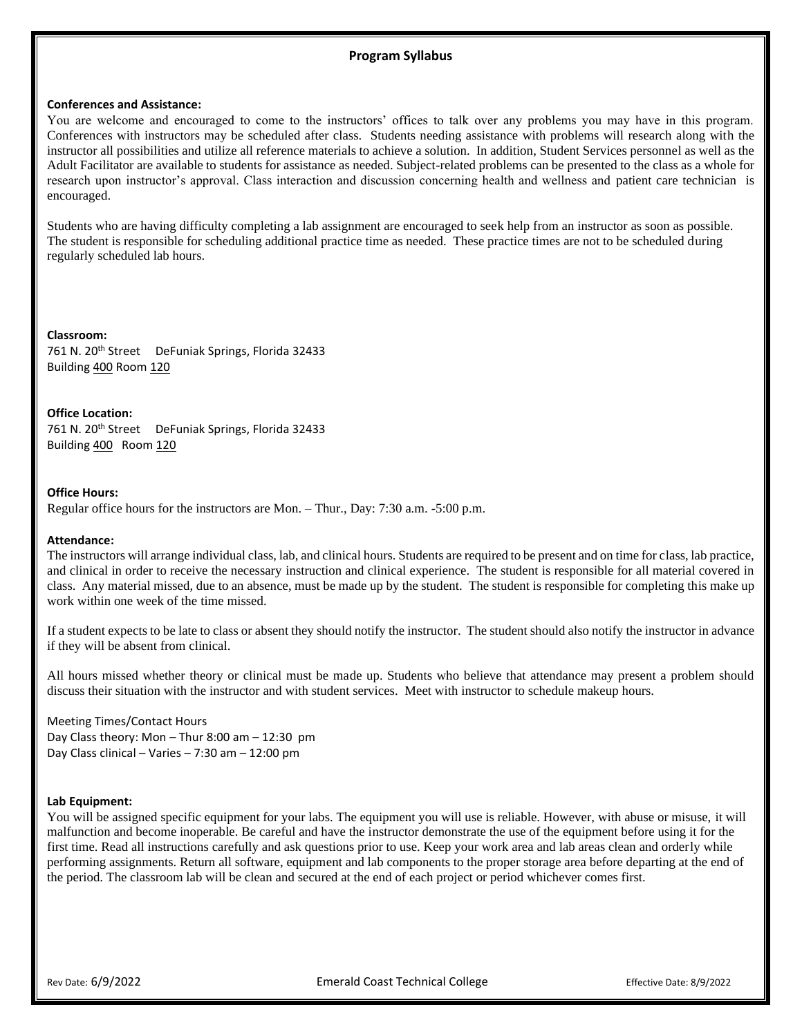## **Program Syllabus**

## **Conferences and Assistance:**

You are welcome and encouraged to come to the instructors' offices to talk over any problems you may have in this program. Conferences with instructors may be scheduled after class. Students needing assistance with problems will research along with the instructor all possibilities and utilize all reference materials to achieve a solution. In addition, Student Services personnel as well as the Adult Facilitator are available to students for assistance as needed. Subject-related problems can be presented to the class as a whole for research upon instructor's approval. Class interaction and discussion concerning health and wellness and patient care technician is encouraged.

Students who are having difficulty completing a lab assignment are encouraged to seek help from an instructor as soon as possible. The student is responsible for scheduling additional practice time as needed. These practice times are not to be scheduled during regularly scheduled lab hours.

**Classroom:** 761 N. 20<sup>th</sup> Street DeFuniak Springs, Florida 32433 Building 400 Room 120

**Office Location:**

761 N. 20<sup>th</sup> Street DeFuniak Springs, Florida 32433 Building 400 Room 120

## **Office Hours:**

Regular office hours for the instructors are Mon. – Thur., Day: 7:30 a.m. -5:00 p.m.

## **Attendance:**

The instructors will arrange individual class, lab, and clinical hours. Students are required to be present and on time for class, lab practice, and clinical in order to receive the necessary instruction and clinical experience. The student is responsible for all material covered in class. Any material missed, due to an absence, must be made up by the student. The student is responsible for completing this make up work within one week of the time missed.

If a student expects to be late to class or absent they should notify the instructor. The student should also notify the instructor in advance if they will be absent from clinical.

All hours missed whether theory or clinical must be made up. Students who believe that attendance may present a problem should discuss their situation with the instructor and with student services. Meet with instructor to schedule makeup hours.

Meeting Times/Contact Hours Day Class theory: Mon – Thur 8:00 am – 12:30 pm Day Class clinical – Varies – 7:30 am – 12:00 pm

## **Lab Equipment:**

You will be assigned specific equipment for your labs. The equipment you will use is reliable. However, with abuse or misuse, it will malfunction and become inoperable. Be careful and have the instructor demonstrate the use of the equipment before using it for the first time. Read all instructions carefully and ask questions prior to use. Keep your work area and lab areas clean and orderly while performing assignments. Return all software, equipment and lab components to the proper storage area before departing at the end of the period. The classroom lab will be clean and secured at the end of each project or period whichever comes first.